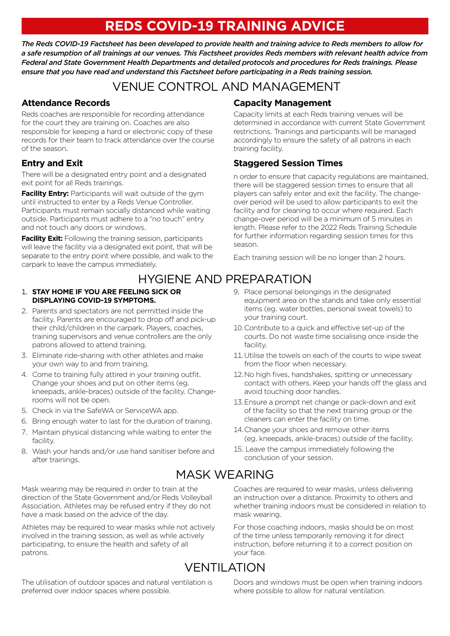# **REDS COVID-19 TRAINING ADVICE**

*The Reds COVID-19 Factsheet has been developed to provide health and training advice to Reds members to allow for a safe resumption of all trainings at our venues. This Factsheet provides Reds members with relevant health advice from Federal and State Government Health Departments and detailed protocols and procedures for Reds trainings. Please ensure that you have read and understand this Factsheet before participating in a Reds training session.*

# VENUE CONTROL AND MANAGEMENT

### **Attendance Records**

Reds coaches are responsible for recording attendance for the court they are training on. Coaches are also responsible for keeping a hard or electronic copy of these records for their team to track attendance over the course of the season.

### **Entry and Exit**

There will be a designated entry point and a designated exit point for all Reds trainings.

**Facility Entry:** Participants will wait outside of the gym until instructed to enter by a Reds Venue Controller. Participants must remain socially distanced while waiting outside. Participants must adhere to a "no touch" entry and not touch any doors or windows.

**Facility Exit:** Following the training session, participants will leave the facility via a designated exit point, that will be separate to the entry point where possible, and walk to the carpark to leave the campus immediately.

# HYGIENE AND PREPARATION

### 1. **STAY HOME IF YOU ARE FEELING SICK OR DISPLAYING COVID-19 SYMPTOMS.**

- 2. Parents and spectators are not permitted inside the facility. Parents are encouraged to drop off and pick-up their child/children in the carpark. Players, coaches, training supervisors and venue controllers are the only patrons allowed to attend training.
- 3. Eliminate ride-sharing with other athletes and make your own way to and from training.
- 4. Come to training fully attired in your training outfit. Change your shoes and put on other items (eg. kneepads, ankle-braces) outside of the facility. Changerooms will not be open.
- 5. Check in via the SafeWA or ServiceWA app.
- 6. Bring enough water to last for the duration of training.
- 7. Maintain physical distancing while waiting to enter the facility.
- 8. Wash your hands and/or use hand sanitiser before and after trainings.

Mask wearing may be required in order to train at the direction of the State Government and/or Reds Volleyball Association. Athletes may be refused entry if they do not have a mask based on the advice of the day.

Athletes may be required to wear masks while not actively involved in the training session, as well as while actively participating, to ensure the health and safety of all patrons.

The utilisation of outdoor spaces and natural ventilation is preferred over indoor spaces where possible.

### **Capacity Management**

Capacity limits at each Reds training venues will be determined in accordance with current State Government restrictions. Trainings and participants will be managed accordingly to ensure the safety of all patrons in each training facility.

### **Staggered Session Times**

n order to ensure that capacity regulations are maintained, there will be staggered session times to ensure that all players can safely enter and exit the facility. The changeover period will be used to allow participants to exit the facility and for cleaning to occur where required. Each change-over period will be a minimum of 5 minutes in length. Please refer to the 2022 Reds Training Schedule for further information regarding session times for this season.

Each training session will be no longer than 2 hours.

- 9. Place personal belongings in the designated equipment area on the stands and take only essential items (eg. water bottles, personal sweat towels) to your training court.
- 10.Contribute to a quick and effective set-up of the courts. Do not waste time socialising once inside the facility.
- 11.Utilise the towels on each of the courts to wipe sweat from the floor when necessary.
- 12.No high fives, handshakes, spitting or unnecessary contact with others. Keep your hands off the glass and avoid touching door handles.
- 13.Ensure a prompt net change or pack-down and exit of the facility so that the next training group or the cleaners can enter the facility on time.
- 14.Change your shoes and remove other items (eg. kneepads, ankle-braces) outside of the facility.
- 15. Leave the campus immediately following the conclusion of your session.

# MASK WEARING

Coaches are required to wear masks, unless delivering an instruction over a distance. Proximity to others and whether training indoors must be considered in relation to mask wearing.

For those coaching indoors, masks should be on most of the time unless temporarily removing it for direct instruction, before returning it to a correct position on your face.

# VENTILATION

Doors and windows must be open when training indoors where possible to allow for natural ventilation.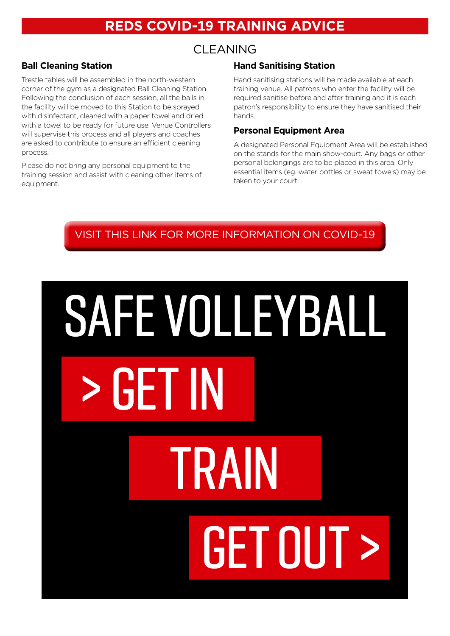# **REDS COVID-19 TRAINING ADVICE**

### CLEANING

### **Ball Cleaning Station**

Trestle tables will be assembled in the north-western corner of the gym as a designated Ball Cleaning Station. Following the conclusion of each session, all the balls in the facility will be moved to this Station to be sprayed with disinfectant, cleaned with a paper towel and dried with a towel to be ready for future use. Venue Controllers will supervise this process and all players and coaches are asked to contribute to ensure an efficient cleaning process.

Please do not bring any personal equipment to the training session and assist with cleaning other items of equipment.

### **Hand Sanitising Station**

Hand sanitising stations will be made available at each training venue. All patrons who enter the facility will be required sanitise before and after training and it is each patron's responsibility to ensure they have sanitised their hands.

### **Personal Equipment Area**

A designated Personal Equipment Area will be established on the stands for the main show-court. Any bags or other personal belongings are to be placed in this area. Only essential items (eg. water bottles or sweat towels) may be taken to your court.



# **> GET IN TRAIN GET OUT > SAFE VOLLEYBALL**